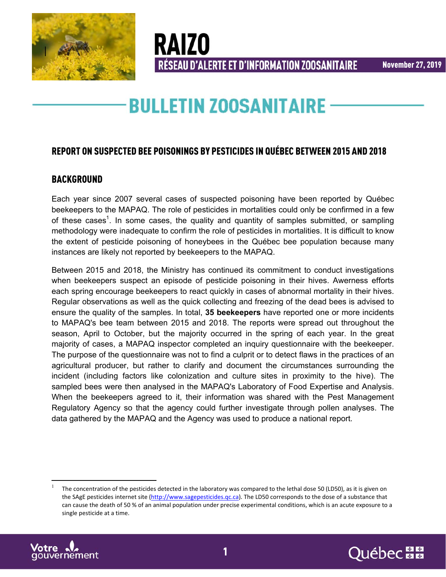



**BULLETIN ZOOSANITAIRE** 

RÉSEAU D'ALERTE ET D'INFORMATION ZOOSANITAIRE

**RAIZO** 

## REPORT ON SUSPECTED BEE POISONINGS BY PESTICIDES IN QUÉBEC BETWEEN 2015 AND 2018

### BACKGROUND

Each year since 2007 several cases of suspected poisoning have been reported by Québec beekeepers to the MAPAQ. The role of pesticides in mortalities could only be confirmed in a few of these cases<sup>1</sup>. In some cases, the quality and quantity of samples submitted, or sampling methodology were inadequate to confirm the role of pesticides in mortalities. It is difficult to know the extent of pesticide poisoning of honeybees in the Québec bee population because many instances are likely not reported by beekeepers to the MAPAQ.

Between 2015 and 2018, the Ministry has continued its commitment to conduct investigations when beekeepers suspect an episode of pesticide poisoning in their hives. Awerness efforts each spring encourage beekeepers to react quickly in cases of abnormal mortality in their hives. Regular observations as well as the quick collecting and freezing of the dead bees is advised to ensure the quality of the samples. In total, **35 beekeepers** have reported one or more incidents to MAPAQ's bee team between 2015 and 2018. The reports were spread out throughout the season, April to October, but the majority occurred in the spring of each year. In the great majority of cases, a MAPAQ inspector completed an inquiry questionnaire with the beekeeper. The purpose of the questionnaire was not to find a culprit or to detect flaws in the practices of an agricultural producer, but rather to clarify and document the circumstances surrounding the incident (including factors like colonization and culture sites in proximity to the hive). The sampled bees were then analysed in the MAPAQ's Laboratory of Food Expertise and Analysis. When the beekeepers agreed to it, their information was shared with the Pest Management Regulatory Agency so that the agency could further investigate through pollen analyses. The data gathered by the MAPAQ and the Agency was used to produce a national report.

<sup>1</sup> The concentration of the pesticides detected in the laboratory was compared to the lethal dose 50 (LD50), as it is given on the SAgE pesticides internet site (http://www.sagepesticides.qc.ca). The LD50 corresponds to the dose of a substance that can cause the death of 50 % of an animal population under precise experimental conditions, which is an acute exposure to a single pesticide at a time.



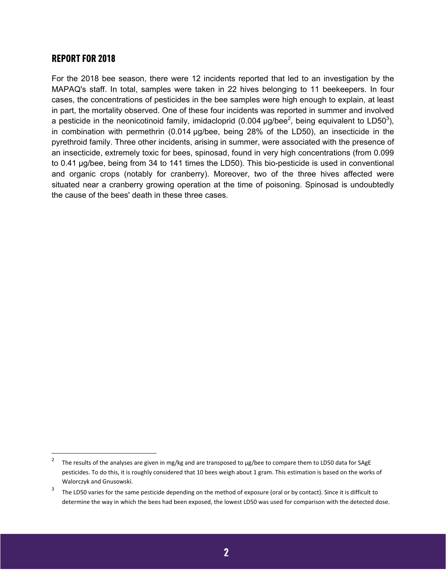#### REPORT FOR 2018

For the 2018 bee season, there were 12 incidents reported that led to an investigation by the MAPAQ's staff. In total, samples were taken in 22 hives belonging to 11 beekeepers. In four cases, the concentrations of pesticides in the bee samples were high enough to explain, at least in part, the mortality observed. One of these four incidents was reported in summer and involved a pesticide in the neonicotinoid family, imidacloprid (0.004  $\mu$ g/bee<sup>2</sup>, being equivalent to LD50<sup>3</sup>), in combination with permethrin (0.014 µg/bee, being 28% of the LD50), an insecticide in the pyrethroid family. Three other incidents, arising in summer, were associated with the presence of an insecticide, extremely toxic for bees, spinosad, found in very high concentrations (from 0.099 to 0.41 µg/bee, being from 34 to 141 times the LD50). This bio-pesticide is used in conventional and organic crops (notably for cranberry). Moreover, two of the three hives affected were situated near a cranberry growing operation at the time of poisoning. Spinosad is undoubtedly the cause of the bees' death in these three cases.

<sup>2</sup> The results of the analyses are given in mg/kg and are transposed to µg/bee to compare them to LD50 data for SAgE pesticides. To do this, it is roughly considered that 10 bees weigh about 1 gram. This estimation is based on the works of Walorczyk and Gnusowski.

<sup>3</sup> The LD50 varies for the same pesticide depending on the method of exposure (oral or by contact). Since it is difficult to determine the way in which the bees had been exposed, the lowest LD50 was used for comparison with the detected dose.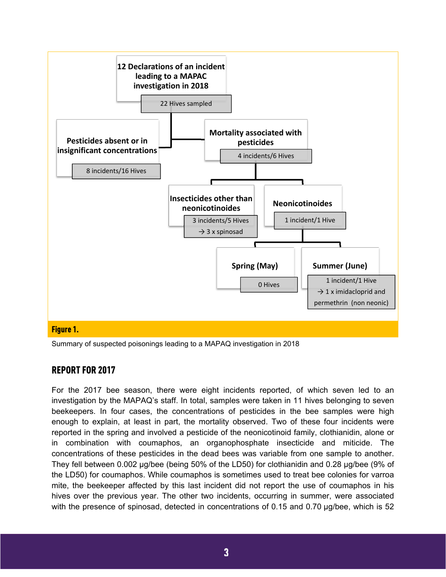

Summary of suspected poisonings leading to a MAPAQ investigation in 2018

### REPORT FOR 2017

For the 2017 bee season, there were eight incidents reported, of which seven led to an investigation by the MAPAQ's staff. In total, samples were taken in 11 hives belonging to seven beekeepers. In four cases, the concentrations of pesticides in the bee samples were high enough to explain, at least in part, the mortality observed. Two of these four incidents were reported in the spring and involved a pesticide of the neonicotinoid family, clothianidin, alone or in combination with coumaphos, an organophosphate insecticide and miticide. The concentrations of these pesticides in the dead bees was variable from one sample to another. They fell between 0.002 µg/bee (being 50% of the LD50) for clothianidin and 0.28 µg/bee (9% of the LD50) for coumaphos. While coumaphos is sometimes used to treat bee colonies for varroa mite, the beekeeper affected by this last incident did not report the use of coumaphos in his hives over the previous year. The other two incidents, occurring in summer, were associated with the presence of spinosad, detected in concentrations of 0.15 and 0.70 µg/bee, which is 52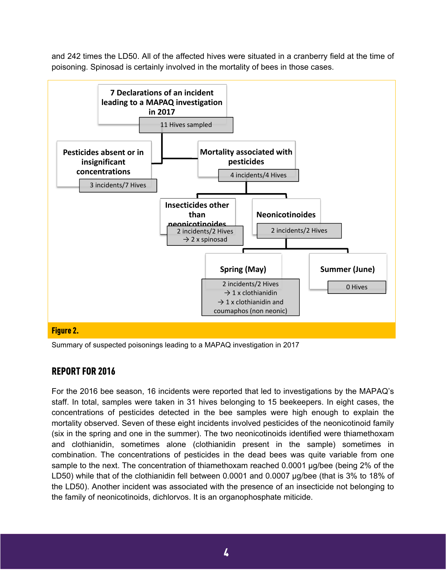and 242 times the LD50. All of the affected hives were situated in a cranberry field at the time of poisoning. Spinosad is certainly involved in the mortality of bees in those cases.



Summary of suspected poisonings leading to a MAPAQ investigation in 2017

## REPORT FOR 2016

For the 2016 bee season, 16 incidents were reported that led to investigations by the MAPAQ's staff. In total, samples were taken in 31 hives belonging to 15 beekeepers. In eight cases, the concentrations of pesticides detected in the bee samples were high enough to explain the mortality observed. Seven of these eight incidents involved pesticides of the neonicotinoid family (six in the spring and one in the summer). The two neonicotinoids identified were thiamethoxam and clothianidin, sometimes alone (clothianidin present in the sample) sometimes in combination. The concentrations of pesticides in the dead bees was quite variable from one sample to the next. The concentration of thiamethoxam reached 0.0001 µg/bee (being 2% of the LD50) while that of the clothianidin fell between 0.0001 and 0.0007  $\mu$ g/bee (that is 3% to 18% of the LD50). Another incident was associated with the presence of an insecticide not belonging to the family of neonicotinoids, dichlorvos. It is an organophosphate miticide.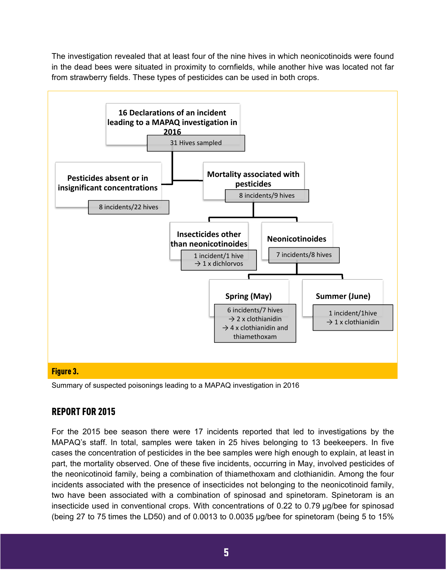The investigation revealed that at least four of the nine hives in which neonicotinoids were found in the dead bees were situated in proximity to cornfields, while another hive was located not far from strawberry fields. These types of pesticides can be used in both crops.



Summary of suspected poisonings leading to a MAPAQ investigation in 2016

## REPORT FOR 2015

For the 2015 bee season there were 17 incidents reported that led to investigations by the MAPAQ's staff. In total, samples were taken in 25 hives belonging to 13 beekeepers. In five cases the concentration of pesticides in the bee samples were high enough to explain, at least in part, the mortality observed. One of these five incidents, occurring in May, involved pesticides of the neonicotinoid family, being a combination of thiamethoxam and clothianidin. Among the four incidents associated with the presence of insecticides not belonging to the neonicotinoid family, two have been associated with a combination of spinosad and spinetoram. Spinetoram is an insecticide used in conventional crops. With concentrations of 0.22 to 0.79 µg/bee for spinosad (being 27 to 75 times the LD50) and of 0.0013 to 0.0035 µg/bee for spinetoram (being 5 to 15%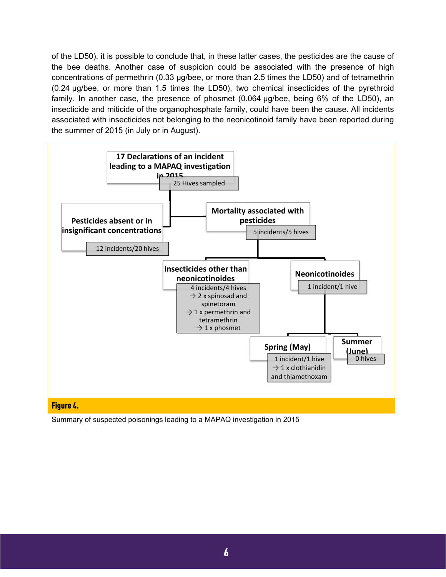of the LD50), it is possible to conclude that, in these latter cases, the pesticides are the cause of the bee deaths. Another case of suspicion could be associated with the presence of high concentrations of permethrin (0.33 µg/bee, or more than 2.5 times the LD50) and of tetramethrin (0.24 µg/bee, or more than 1.5 times the LD50), two chemical insecticides of the pyrethroid family. In another case, the presence of phosmet (0.064 µg/bee, being 6% of the LD50), an insecticide and miticide of the organophosphate family, could have been the cause. All incidents associated with insecticides not belonging to the neonicotinoid family have been reported during the summer of 2015 (in July or in August).



Summary of suspected poisonings leading to a MAPAQ investigation in 2015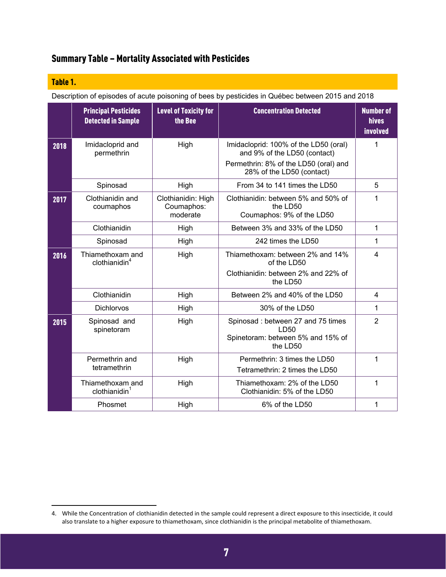# Summary Table – Mortality Associated with Pesticides

#### Table 1.

Description of episodes of acute poisoning of bees by pesticides in Québec between 2015 and 2018

|      | <b>Principal Pesticides</b><br><b>Detected in Sample</b> | <b>Level of Toxicity for</b><br>the Bee      | <b>Concentration Detected</b>                                                                                                               | <b>Number of</b><br><b>hives</b><br>involved |
|------|----------------------------------------------------------|----------------------------------------------|---------------------------------------------------------------------------------------------------------------------------------------------|----------------------------------------------|
| 2018 | Imidacloprid and<br>permethrin                           | High                                         | Imidacloprid: 100% of the LD50 (oral)<br>and 9% of the LD50 (contact)<br>Permethrin: 8% of the LD50 (oral) and<br>28% of the LD50 (contact) | 1                                            |
|      | Spinosad                                                 | High                                         | From 34 to 141 times the LD50                                                                                                               | 5                                            |
| 2017 | Clothianidin and<br>coumaphos                            | Clothianidin: High<br>Coumaphos:<br>moderate | Clothianidin: between 5% and 50% of<br>the LD50<br>Coumaphos: 9% of the LD50                                                                | 1                                            |
|      | Clothianidin                                             | High                                         | Between 3% and 33% of the LD50                                                                                                              | 1                                            |
|      | Spinosad                                                 | High                                         | 242 times the LD50                                                                                                                          | 1                                            |
| 2016 | Thiamethoxam and<br>clothianidin <sup>4</sup>            | High                                         | Thiamethoxam: between 2% and 14%<br>of the LD50<br>Clothianidin: between 2% and 22% of                                                      | $\overline{4}$                               |
|      |                                                          |                                              | the LD50                                                                                                                                    |                                              |
|      | Clothianidin                                             | High                                         | Between 2% and 40% of the LD50                                                                                                              | $\overline{4}$                               |
|      | Dichlorvos                                               | High                                         | 30% of the LD50                                                                                                                             | 1                                            |
| 2015 | Spinosad and<br>spinetoram                               | High                                         | Spinosad: between 27 and 75 times<br>LD50<br>Spinetoram: between 5% and 15% of<br>the LD50                                                  | $\overline{2}$                               |
|      | Permethrin and<br>tetramethrin                           | High                                         | Permethrin: 3 times the LD50<br>Tetramethrin: 2 times the LD50                                                                              | 1                                            |
|      | Thiamethoxam and<br>clothianidin <sup>1</sup>            | High                                         | Thiamethoxam: 2% of the LD50<br>Clothianidin: 5% of the LD50                                                                                | 1                                            |
|      | Phosmet                                                  | High                                         | 6% of the LD50                                                                                                                              | 1                                            |

<sup>4.</sup> While the Concentration of clothianidin detected in the sample could represent a direct exposure to this insecticide, it could also translate to a higher exposure to thiamethoxam, since clothianidin is the principal metabolite of thiamethoxam.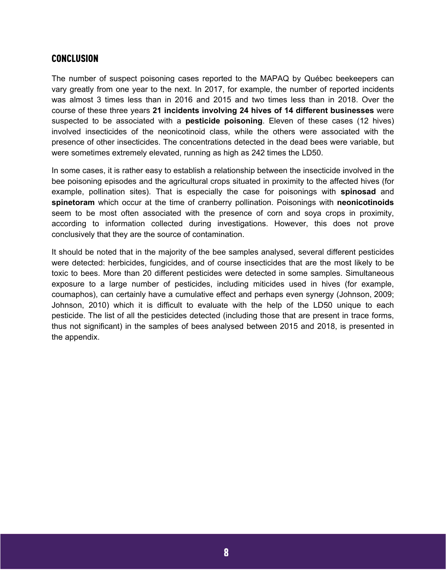#### **CONCLUSION**

The number of suspect poisoning cases reported to the MAPAQ by Québec beekeepers can vary greatly from one year to the next. In 2017, for example, the number of reported incidents was almost 3 times less than in 2016 and 2015 and two times less than in 2018. Over the course of these three years **21 incidents involving 24 hives of 14 different businesses** were suspected to be associated with a **pesticide poisoning**. Eleven of these cases (12 hives) involved insecticides of the neonicotinoid class, while the others were associated with the presence of other insecticides. The concentrations detected in the dead bees were variable, but were sometimes extremely elevated, running as high as 242 times the LD50.

In some cases, it is rather easy to establish a relationship between the insecticide involved in the bee poisoning episodes and the agricultural crops situated in proximity to the affected hives (for example, pollination sites). That is especially the case for poisonings with **spinosad** and **spinetoram** which occur at the time of cranberry pollination. Poisonings with **neonicotinoids** seem to be most often associated with the presence of corn and soya crops in proximity, according to information collected during investigations. However, this does not prove conclusively that they are the source of contamination.

It should be noted that in the majority of the bee samples analysed, several different pesticides were detected: herbicides, fungicides, and of course insecticides that are the most likely to be toxic to bees. More than 20 different pesticides were detected in some samples. Simultaneous exposure to a large number of pesticides, including miticides used in hives (for example, coumaphos), can certainly have a cumulative effect and perhaps even synergy (Johnson, 2009; Johnson, 2010) which it is difficult to evaluate with the help of the LD50 unique to each pesticide. The list of all the pesticides detected (including those that are present in trace forms, thus not significant) in the samples of bees analysed between 2015 and 2018, is presented in the appendix.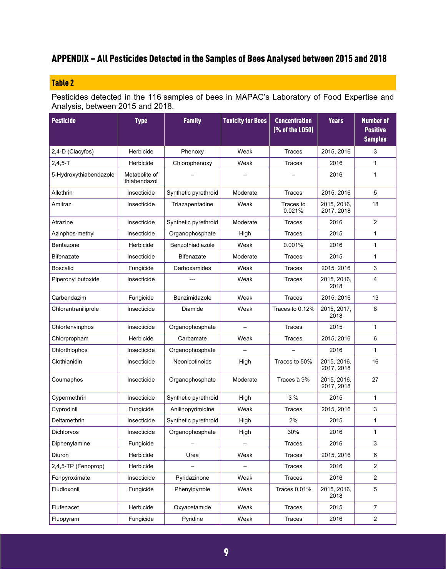# APPENDIX – All Pesticides Detected in the Samples of Bees Analysed between 2015 and 2018

## Table 2

Pesticides detected in the 116 samples of bees in MAPAC's Laboratory of Food Expertise and Analysis, between 2015 and 2018.

| <b>Pesticide</b>       | <b>Type</b>                   | <b>Family</b>        | <b>Toxicity for Bees</b> | <b>Concentration</b><br>(% of the LD50) | <b>Years</b>              | <b>Number of</b><br><b>Positive</b><br><b>Samples</b> |
|------------------------|-------------------------------|----------------------|--------------------------|-----------------------------------------|---------------------------|-------------------------------------------------------|
| 2,4-D (Clacyfos)       | Herbicide                     | Phenoxy              | Weak                     | Traces                                  | 2015, 2016                | 3                                                     |
| $2,4,5-T$              | Herbicide                     | Chlorophenoxy        | Weak                     | <b>Traces</b>                           | 2016                      | $\mathbf{1}$                                          |
| 5-Hydroxythiabendazole | Metabolite of<br>thiabendazol |                      |                          |                                         | 2016                      | $\mathbf{1}$                                          |
| Allethrin              | Insecticide                   | Synthetic pyrethroid | Moderate                 | <b>Traces</b>                           | 2015, 2016                | 5                                                     |
| Amitraz                | Insecticide                   | Triazapentadine      | Weak                     | Traces to<br>0.021%                     | 2015, 2016,<br>2017, 2018 | 18                                                    |
| Atrazine               | Insecticide                   | Synthetic pyrethroid | Moderate                 | <b>Traces</b>                           | 2016                      | $\overline{c}$                                        |
| Azinphos-methyl        | Insecticide                   | Organophosphate      | High                     | <b>Traces</b>                           | 2015                      | $\mathbf{1}$                                          |
| Bentazone              | Herbicide                     | Benzothiadiazole     | Weak                     | 0.001%                                  | 2016                      | $\mathbf{1}$                                          |
| <b>Bifenazate</b>      | Insecticide                   | <b>Bifenazate</b>    | Moderate                 | Traces                                  | 2015                      | $\mathbf{1}$                                          |
| <b>Boscalid</b>        | Fungicide                     | Carboxamides         | Weak                     | Traces                                  | 2015, 2016                | 3                                                     |
| Piperonyl butoxide     | Insecticide                   |                      | Weak                     | Traces                                  | 2015, 2016,<br>2018       | $\overline{4}$                                        |
| Carbendazim            | Fungicide                     | Benzimidazole        | Weak                     | <b>Traces</b>                           | 2015, 2016                | 13                                                    |
| Chlorantraniliprole    | Insecticide                   | Diamide              | Weak                     | Traces to 0.12%                         | 2015, 2017,<br>2018       | 8                                                     |
| Chlorfenvinphos        | Insecticide                   | Organophosphate      |                          | Traces                                  | 2015                      | $\mathbf{1}$                                          |
| Chlorpropham           | Herbicide                     | Carbamate            | Weak                     | Traces                                  | 2015, 2016                | 6                                                     |
| Chlorthiophos          | Insecticide                   | Organophosphate      |                          |                                         | 2016                      | $\mathbf{1}$                                          |
| Clothianidin           | Insecticide                   | Neonicotinoids       | High                     | Traces to 50%                           | 2015, 2016,<br>2017, 2018 | 16                                                    |
| Coumaphos              | Insecticide                   | Organophosphate      | Moderate                 | Traces à 9%                             | 2015, 2016,<br>2017, 2018 | 27                                                    |
| Cypermethrin           | Insecticide                   | Synthetic pyrethroid | High                     | 3 %                                     | 2015                      | $\mathbf{1}$                                          |
| Cyprodinil             | Fungicide                     | Anilinopyrimidine    | Weak                     | Traces                                  | 2015, 2016                | 3                                                     |
| Deltamethrin           | Insecticide                   | Synthetic pyrethroid | High                     | 2%                                      | 2015                      | $\mathbf{1}$                                          |
| <b>Dichlorvos</b>      | Insecticide                   | Organophosphate      | High                     | 30%                                     | 2016                      | $\mathbf{1}$                                          |
| Diphenylamine          | Fungicide                     |                      |                          | Traces                                  | 2016                      | 3                                                     |
| Diuron                 | Herbicide                     | Urea                 | Weak                     | Traces                                  | 2015, 2016                | 6                                                     |
| 2,4,5-TP (Fenoprop)    | Herbicide                     |                      |                          | Traces                                  | 2016                      | $\overline{c}$                                        |
| Fenpyroximate          | Insecticide                   | Pyridazinone         | Weak                     | Traces                                  | 2016                      | $\overline{2}$                                        |
| Fludioxonil            | Fungicide                     | Phenylpyrrole        | Weak                     | <b>Traces 0.01%</b>                     | 2015, 2016,<br>2018       | $\mathbf 5$                                           |
| Flufenacet             | Herbicide                     | Oxyacetamide         | Weak                     | Traces                                  | 2015                      | $\overline{7}$                                        |
| Fluopyram              | Fungicide                     | Pyridine             | Weak                     | Traces                                  | 2016                      | $\overline{c}$                                        |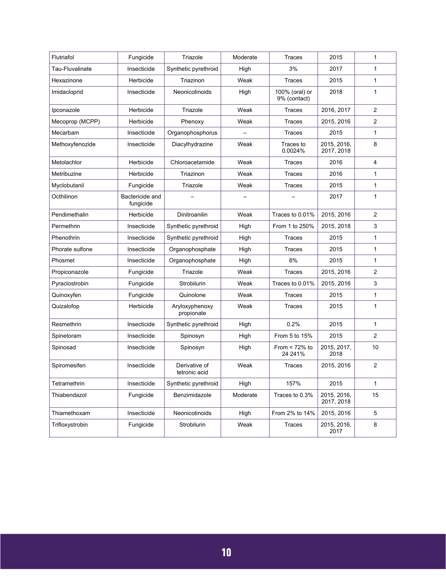| Flutriafol      | Fungicide                    | Triazole                       | Moderate | Traces                         | 2015                      | $\mathbf{1}$   |
|-----------------|------------------------------|--------------------------------|----------|--------------------------------|---------------------------|----------------|
| Tau-Fluvalinate | Insecticide                  | Synthetic pyrethroid           | High     | 3%                             | 2017                      | $\mathbf{1}$   |
| Hexazinone      | Herbicide                    | Triazinon                      | Weak     | <b>Traces</b>                  | 2015                      | $\mathbf{1}$   |
| Imidacloprid    | Insecticide                  | Neonicotinoids                 | High     | 100% (oral) or<br>9% (contact) | 2018                      | $\mathbf{1}$   |
| Ipconazole      | Herbicide                    | Triazole                       | Weak     | Traces                         | 2016, 2017                | $\overline{2}$ |
| Mecoprop (MCPP) | Herbicide                    | Phenoxy                        | Weak     | Traces                         | 2015, 2016                | $\overline{2}$ |
| Mecarbam        | Insecticide                  | Organophosphorus               |          | Traces                         | 2015                      | 1              |
| Methoxyfenozide | Insecticide                  | Diacylhydrazine                | Weak     | Traces to<br>0.0024%           | 2015, 2016,<br>2017, 2018 | 8              |
| Metolachlor     | Herbicide                    | Chloroacetamide                | Weak     | Traces                         | 2016                      | 4              |
| Metribuzine     | Herbicide                    | Triazinon                      | Weak     | Traces                         | 2016                      | $\mathbf{1}$   |
| Myclobutanil    | Fungicide                    | Triazole                       | Weak     | Traces                         | 2015                      | $\mathbf{1}$   |
| Octhilinon      | Bactericide and<br>fungicide |                                |          |                                | 2017                      | $\mathbf{1}$   |
| Pendimethalin   | Herbicide                    | Dinitroanilin                  | Weak     | Traces to 0.01%                | 2015, 2016                | 2              |
| Permethrin      | Insecticide                  | Synthetic pyrethroid           | High     | From 1 to 250%                 | 2015, 2018                | 3              |
| Phenothrin      | Insecticide                  | Synthetic pyrethroid           | High     | Traces                         | 2015                      | 1              |
| Phorate sulfone | Insecticide                  | Organophosphate                | High     | Traces                         | 2015                      | $\mathbf{1}$   |
| Phosmet         | Insecticide                  | Organophosphate                | High     | 6%                             | 2015                      | $\mathbf{1}$   |
| Propiconazole   | Fungicide                    | Triazole                       | Weak     | <b>Traces</b>                  | 2015, 2016                | 2              |
| Pyraclostrobin  | Fungicide                    | Strobilurin                    | Weak     | Traces to 0.01%                | 2015, 2016                | 3              |
| Quinoxyfen      | Fungicide                    | Quinolone                      | Weak     | Traces                         | 2015                      | $\mathbf{1}$   |
| Quizalofop      | Herbicide                    | Aryloxyphenoxy<br>propionate   | Weak     | Traces                         | 2015                      | $\mathbf{1}$   |
| Resmethrin      | Insecticide                  | Synthetic pyrethroid           | High     | 0.2%                           | 2015                      | $\mathbf{1}$   |
| Spinetoram      | Insecticide                  | Spinosyn                       | High     | From 5 to 15%                  | 2015                      | $\overline{2}$ |
| Spinosad        | Insecticide                  | Spinosyn                       | High     | From $<$ 72% to<br>24 24 1%    | 2015, 2017,<br>2018       | 10             |
| Spiromesifen    | Insecticide                  | Derivative of<br>tetronic acid | Weak     | <b>Traces</b>                  | 2015, 2016                | $\overline{2}$ |
| Tetramethrin    | Insecticide                  | Synthetic pyrethroid           | High     | 157%                           | 2015                      | 1              |
| Thiabendazol    | Fungicide                    | Benzimidazole                  | Moderate | Traces to 0.3%                 | 2015, 2016,<br>2017, 2018 | 15             |
| Thiamethoxam    | Insecticide                  | Neonicotinoids                 | High     | From 2% to 14%                 | 2015, 2016                | 5              |
| Trifloxystrobin | Fungicide                    | Strobilurin                    | Weak     | Traces                         | 2015, 2016,<br>2017       | 8              |